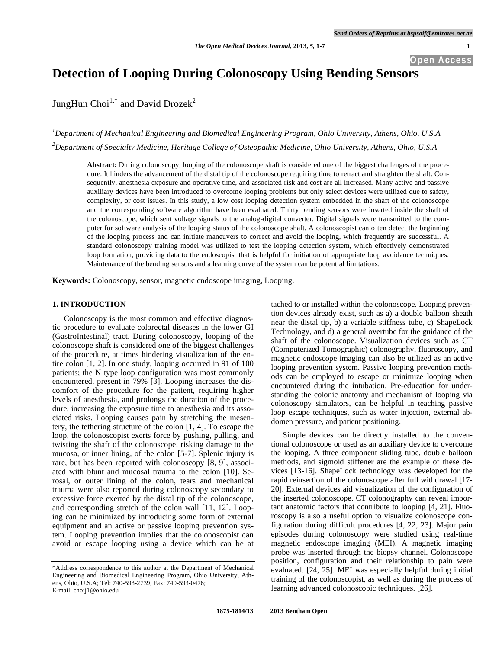**Open Access**

# **Detection of Looping During Colonoscopy Using Bending Sensors**

JungHun Choi<sup>1,\*</sup> and David Drozek<sup>2</sup>

*1 Department of Mechanical Engineering and Biomedical Engineering Program, Ohio University, Athens, Ohio, U.S.A 2 Department of Specialty Medicine, Heritage College of Osteopathic Medicine, Ohio University, Athens, Ohio, U.S.A*

**Abstract:** During colonoscopy, looping of the colonoscope shaft is considered one of the biggest challenges of the procedure. It hinders the advancement of the distal tip of the colonoscope requiring time to retract and straighten the shaft. Consequently, anesthesia exposure and operative time, and associated risk and cost are all increased. Many active and passive auxiliary devices have been introduced to overcome looping problems but only select devices were utilized due to safety, complexity, or cost issues. In this study, a low cost looping detection system embedded in the shaft of the colonoscope and the corresponding software algorithm have been evaluated. Thirty bending sensors were inserted inside the shaft of the colonoscope, which sent voltage signals to the analog-digital converter. Digital signals were transmitted to the computer for software analysis of the looping status of the colonoscope shaft. A colonoscopist can often detect the beginning of the looping process and can initiate maneuvers to correct and avoid the looping, which frequently are successful. A standard colonoscopy training model was utilized to test the looping detection system, which effectively demonstrated loop formation, providing data to the endoscopist that is helpful for initiation of appropriate loop avoidance techniques. Maintenance of the bending sensors and a learning curve of the system can be potential limitations.

**Keywords:** Colonoscopy, sensor, magnetic endoscope imaging, Looping.

# **1. INTRODUCTION**

Colonoscopy is the most common and effective diagnostic procedure to evaluate colorectal diseases in the lower GI (GastroIntestinal) tract. During colonoscopy, looping of the colonoscope shaft is considered one of the biggest challenges of the procedure, at times hindering visualization of the entire colon [1, 2]. In one study, looping occurred in 91 of 100 patients; the N type loop configuration was most commonly encountered, present in 79% [3]. Looping increases the discomfort of the procedure for the patient, requiring higher levels of anesthesia, and prolongs the duration of the procedure, increasing the exposure time to anesthesia and its associated risks. Looping causes pain by stretching the mesentery, the tethering structure of the colon [1, 4]. To escape the loop, the colonoscopist exerts force by pushing, pulling, and twisting the shaft of the colonoscope, risking damage to the mucosa, or inner lining, of the colon [5-7]. Splenic injury is rare, but has been reported with colonoscopy [8, 9], associated with blunt and mucosal trauma to the colon [10]. Serosal, or outer lining of the colon, tears and mechanical trauma were also reported during colonoscopy secondary to excessive force exerted by the distal tip of the colonoscope, and corresponding stretch of the colon wall [11, 12]. Looping can be minimized by introducing some form of external equipment and an active or passive looping prevention system. Looping prevention implies that the colonoscopist can avoid or escape looping using a device which can be at

tached to or installed within the colonoscope. Looping prevention devices already exist, such as a) a double balloon sheath near the distal tip, b) a variable stiffness tube, c) ShapeLock Technology, and d) a general overtube for the guidance of the shaft of the colonoscope. Visualization devices such as CT (Computerized Tomographic) colonography, fluoroscopy, and magnetic endoscope imaging can also be utilized as an active looping prevention system. Passive looping prevention methods can be employed to escape or minimize looping when encountered during the intubation. Pre-education for understanding the colonic anatomy and mechanism of looping via colonoscopy simulators, can be helpful in teaching passive loop escape techniques, such as water injection, external abdomen pressure, and patient positioning.

Simple devices can be directly installed to the conventional colonoscope or used as an auxiliary device to overcome the looping. A three component sliding tube, double balloon methods, and sigmoid stiffener are the example of these devices [13-16]. ShapeLock technology was developed for the rapid reinsertion of the colonoscope after full withdrawal [17- 20]. External devices aid visualization of the configuration of the inserted colonoscope. CT colonography can reveal important anatomic factors that contribute to looping [4, 21]. Fluoroscopy is also a useful option to visualize colonoscope configuration during difficult procedures [4, 22, 23]. Major pain episodes during colonoscopy were studied using real-time magnetic endoscope imaging (MEI). A magnetic imaging probe was inserted through the biopsy channel. Colonoscope position, configuration and their relationship to pain were evaluated. [24, 25]. MEI was especially helpful during initial training of the colonoscopist, as well as during the process of learning advanced colonoscopic techniques. [26].

<sup>\*</sup>Address correspondence to this author at the Department of Mechanical Engineering and Biomedical Engineering Program, Ohio University, Athens, Ohio, U.S.A; Tel: 740-593-2739; Fax: 740-593-0476; E-mail: choij1@ohio.edu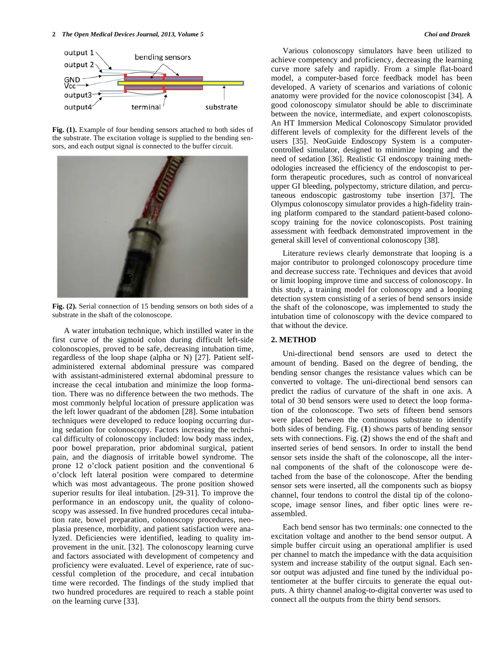

**Fig. (1).** Example of four bending sensors attached to both sides of the substrate. The excitation voltage is supplied to the bending sensors, and each output signal is connected to the buffer circuit.



**Fig. (2).** Serial connection of 15 bending sensors on both sides of a substrate in the shaft of the colonoscope.

A water intubation technique, which instilled water in the first curve of the sigmoid colon during difficult left-side colonoscopies, proved to be safe, decreasing intubation time, regardless of the loop shape (alpha or N) [27]. Patient selfadministered external abdominal pressure was compared with assistant-administered external abdominal pressure to increase the cecal intubation and minimize the loop formation. There was no difference between the two methods. The most commonly helpful location of pressure application was the left lower quadrant of the abdomen [28]. Some intubation techniques were developed to reduce looping occurring during sedation for colonoscopy. Factors increasing the technical difficulty of colonoscopy included: low body mass index, poor bowel preparation, prior abdominal surgical, patient pain, and the diagnosis of irritable bowel syndrome. The prone 12 o'clock patient position and the conventional 6 o'clock left lateral position were compared to determine which was most advantageous. The prone position showed superior results for ileal intubation. [29-31]. To improve the performance in an endoscopy unit, the quality of colonoscopy was assessed. In five hundred procedures cecal intubation rate, bowel preparation, colonoscopy procedures, neoplasia presence, morbidity, and patient satisfaction were analyzed. Deficiencies were identified, leading to quality improvement in the unit. [32]. The colonoscopy learning curve and factors associated with development of competency and proficiency were evaluated. Level of experience, rate of successful completion of the procedure, and cecal intubation time were recorded. The findings of the study implied that two hundred procedures are required to reach a stable point on the learning curve [33].

Various colonoscopy simulators have been utilized to achieve competency and proficiency, decreasing the learning curve more safely and rapidly. From a simple flat-board model, a computer-based force feedback model has been developed. A variety of scenarios and variations of colonic anatomy were provided for the novice colonoscopist [34]. A good colonoscopy simulator should be able to discriminate between the novice, intermediate, and expert colonoscopists. An HT Immersion Medical Colonoscopy Simulator provided different levels of complexity for the different levels of the users [35]. NeoGuide Endoscopy System is a computercontrolled simulator, designed to minimize looping and the need of sedation [36]. Realistic GI endoscopy training methodologies increased the efficiency of the endoscopist to perform therapeutic procedures, such as control of nonvariceal upper GI bleeding, polypectomy, stricture dilation, and percutaneous endoscopic gastrostomy tube insertion [37]. The Olympus colonoscopy simulator provides a high-fidelity training platform compared to the standard patient-based colonoscopy training for the novice colonoscopists. Post training assessment with feedback demonstrated improvement in the general skill level of conventional colonoscopy [38].

Literature reviews clearly demonstrate that looping is a major contributor to prolonged colonoscopy procedure time and decrease success rate. Techniques and devices that avoid or limit looping improve time and success of colonoscopy. In this study, a training model for colonoscopy and a looping detection system consisting of a series of bend sensors inside the shaft of the colonoscope, was implemented to study the intubation time of colonoscopy with the device compared to that without the device.

# **2. METHOD**

Uni-directional bend sensors are used to detect the amount of bending. Based on the degree of bending, the bending sensor changes the resistance values which can be converted to voltage. The uni-directional bend sensors can predict the radius of curvature of the shaft in one axis. A total of 30 bend sensors were used to detect the loop formation of the colonoscope. Two sets of fifteen bend sensors were placed between the continuous substrate to identify both sides of bending. Fig. (**1**) shows parts of bending sensor sets with connections. Fig. (**2**) shows the end of the shaft and inserted series of bend sensors. In order to install the bend sensor sets inside the shaft of the colonoscope, all the internal components of the shaft of the colonoscope were detached from the base of the colonoscope. After the bending sensor sets were inserted, all the components such as biopsy channel, four tendons to control the distal tip of the colonoscope, image sensor lines, and fiber optic lines were reassembled.

Each bend sensor has two terminals: one connected to the excitation voltage and another to the bend sensor output. A simple buffer circuit using an operational amplifier is used per channel to match the impedance with the data acquisition system and increase stability of the output signal. Each sensor output was adjusted and fine tuned by the individual potentiometer at the buffer circuits to generate the equal outputs. A thirty channel analog-to-digital converter was used to connect all the outputs from the thirty bend sensors.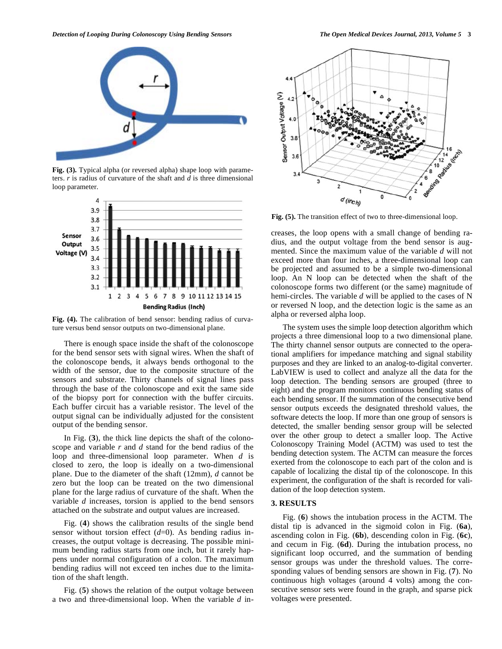

**Fig. (3).** Typical alpha (or reversed alpha) shape loop with parameters. *r* is radius of curvature of the shaft and *d* is three dimensional loop parameter.



**Fig. (4).** The calibration of bend sensor: bending radius of curvature versus bend sensor outputs on two-dimensional plane.

There is enough space inside the shaft of the colonoscope for the bend sensor sets with signal wires. When the shaft of the colonoscope bends, it always bends orthogonal to the width of the sensor, due to the composite structure of the sensors and substrate. Thirty channels of signal lines pass through the base of the colonoscope and exit the same side of the biopsy port for connection with the buffer circuits. Each buffer circuit has a variable resistor. The level of the output signal can be individually adjusted for the consistent output of the bending sensor.

In Fig. (**3**), the thick line depicts the shaft of the colonoscope and variable *r* and *d* stand for the bend radius of the loop and three-dimensional loop parameter. When *d* is closed to zero, the loop is ideally on a two-dimensional plane. Due to the diameter of the shaft (12mm), *d* cannot be zero but the loop can be treated on the two dimensional plane for the large radius of curvature of the shaft. When the variable *d* increases, torsion is applied to the bend sensors attached on the substrate and output values are increased.

Fig. (**4**) shows the calibration results of the single bend sensor without torsion effect (*d*=0). As bending radius increases, the output voltage is decreasing. The possible minimum bending radius starts from one inch, but it rarely happens under normal configuration of a colon. The maximum bending radius will not exceed ten inches due to the limitation of the shaft length.

Fig. (**5**) shows the relation of the output voltage between a two and three-dimensional loop. When the variable *d* in-

![](_page_2_Figure_10.jpeg)

**Fig. (5).** The transition effect of two to three-dimensional loop.

creases, the loop opens with a small change of bending radius, and the output voltage from the bend sensor is augmented. Since the maximum value of the variable *d* will not exceed more than four inches, a three-dimensional loop can be projected and assumed to be a simple two-dimensional loop. An N loop can be detected when the shaft of the colonoscope forms two different (or the same) magnitude of hemi-circles. The variable *d* will be applied to the cases of N or reversed N loop, and the detection logic is the same as an alpha or reversed alpha loop.

The system uses the simple loop detection algorithm which projects a three dimensional loop to a two dimensional plane. The thirty channel sensor outputs are connected to the operational amplifiers for impedance matching and signal stability purposes and they are linked to an analog-to-digital converter. LabVIEW is used to collect and analyze all the data for the loop detection. The bending sensors are grouped (three to eight) and the program monitors continuous bending status of each bending sensor. If the summation of the consecutive bend sensor outputs exceeds the designated threshold values, the software detects the loop. If more than one group of sensors is detected, the smaller bending sensor group will be selected over the other group to detect a smaller loop. The Active Colonoscopy Training Model (ACTM) was used to test the bending detection system. The ACTM can measure the forces exerted from the colonoscope to each part of the colon and is capable of localizing the distal tip of the colonoscope. In this experiment, the configuration of the shaft is recorded for validation of the loop detection system.

# **3. RESULTS**

Fig. (**6**) shows the intubation process in the ACTM. The distal tip is advanced in the sigmoid colon in Fig. (**6a**), ascending colon in Fig. (**6b**), descending colon in Fig. (**6c**), and cecum in Fig. (**6d**). During the intubation process, no significant loop occurred, and the summation of bending sensor groups was under the threshold values. The corresponding values of bending sensors are shown in Fig. (**7**). No continuous high voltages (around 4 volts) among the consecutive sensor sets were found in the graph, and sparse pick voltages were presented.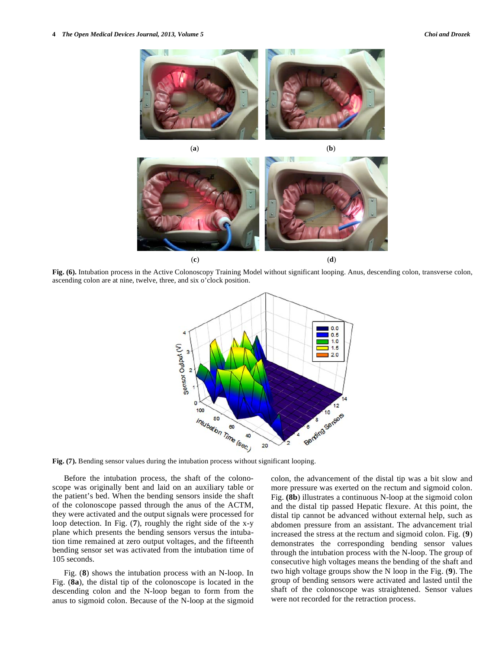![](_page_3_Picture_2.jpeg)

![](_page_3_Figure_3.jpeg)

**Fig. (6).** Intubation process in the Active Colonoscopy Training Model without significant looping. Anus, descending colon, transverse colon, ascending colon are at nine, twelve, three, and six o'clock position.

![](_page_3_Figure_5.jpeg)

**Fig. (7).** Bending sensor values during the intubation process without significant looping.

Before the intubation process, the shaft of the colonoscope was originally bent and laid on an auxiliary table or the patient's bed. When the bending sensors inside the shaft of the colonoscope passed through the anus of the ACTM, they were activated and the output signals were processed for loop detection. In Fig. (**7**), roughly the right side of the x-y plane which presents the bending sensors versus the intubation time remained at zero output voltages, and the fifteenth bending sensor set was activated from the intubation time of 105 seconds.

Fig. (**8**) shows the intubation process with an N-loop. In Fig. (**8a**), the distal tip of the colonoscope is located in the descending colon and the N-loop began to form from the anus to sigmoid colon. Because of the N-loop at the sigmoid colon, the advancement of the distal tip was a bit slow and more pressure was exerted on the rectum and sigmoid colon. Fig. **(8b**) illustrates a continuous N-loop at the sigmoid colon and the distal tip passed Hepatic flexure. At this point, the distal tip cannot be advanced without external help, such as abdomen pressure from an assistant. The advancement trial increased the stress at the rectum and sigmoid colon. Fig. (**9**) demonstrates the corresponding bending sensor values through the intubation process with the N-loop. The group of consecutive high voltages means the bending of the shaft and two high voltage groups show the N loop in the Fig. (**9**). The group of bending sensors were activated and lasted until the shaft of the colonoscope was straightened. Sensor values were not recorded for the retraction process.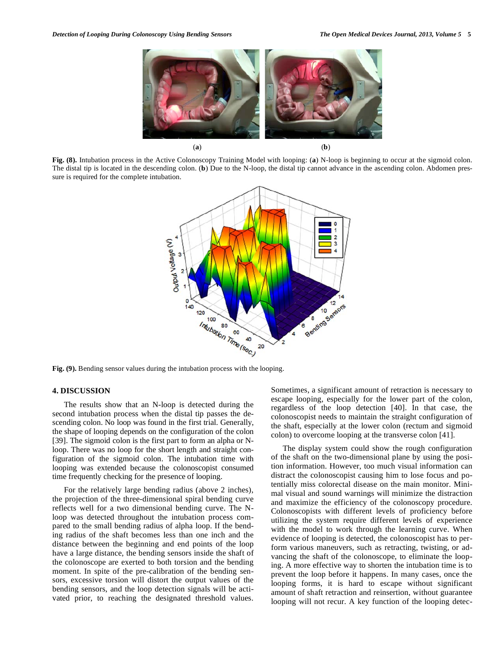![](_page_4_Figure_2.jpeg)

**Fig. (8).** Intubation process in the Active Colonoscopy Training Model with looping: (**a**) N-loop is beginning to occur at the sigmoid colon. The distal tip is located in the descending colon. (**b**) Due to the N-loop, the distal tip cannot advance in the ascending colon. Abdomen pressure is required for the complete intubation.

![](_page_4_Figure_4.jpeg)

**Fig. (9).** Bending sensor values during the intubation process with the looping.

### **4. DISCUSSION**

The results show that an N-loop is detected during the second intubation process when the distal tip passes the descending colon. No loop was found in the first trial. Generally, the shape of looping depends on the configuration of the colon [39]. The sigmoid colon is the first part to form an alpha or Nloop. There was no loop for the short length and straight configuration of the sigmoid colon. The intubation time with looping was extended because the colonoscopist consumed time frequently checking for the presence of looping.

For the relatively large bending radius (above 2 inches), the projection of the three-dimensional spiral bending curve reflects well for a two dimensional bending curve. The Nloop was detected throughout the intubation process compared to the small bending radius of alpha loop. If the bending radius of the shaft becomes less than one inch and the distance between the beginning and end points of the loop have a large distance, the bending sensors inside the shaft of the colonoscope are exerted to both torsion and the bending moment. In spite of the pre-calibration of the bending sensors, excessive torsion will distort the output values of the bending sensors, and the loop detection signals will be activated prior, to reaching the designated threshold values. Sometimes, a significant amount of retraction is necessary to escape looping, especially for the lower part of the colon, regardless of the loop detection [40]. In that case, the colonoscopist needs to maintain the straight configuration of the shaft, especially at the lower colon (rectum and sigmoid colon) to overcome looping at the transverse colon [41].

The display system could show the rough configuration of the shaft on the two-dimensional plane by using the position information. However, too much visual information can distract the colonoscopist causing him to lose focus and potentially miss colorectal disease on the main monitor. Minimal visual and sound warnings will minimize the distraction and maximize the efficiency of the colonoscopy procedure. Colonoscopists with different levels of proficiency before utilizing the system require different levels of experience with the model to work through the learning curve. When evidence of looping is detected, the colonoscopist has to perform various maneuvers, such as retracting, twisting, or advancing the shaft of the colonoscope, to eliminate the looping. A more effective way to shorten the intubation time is to prevent the loop before it happens. In many cases, once the looping forms, it is hard to escape without significant amount of shaft retraction and reinsertion, without guarantee looping will not recur. A key function of the looping detec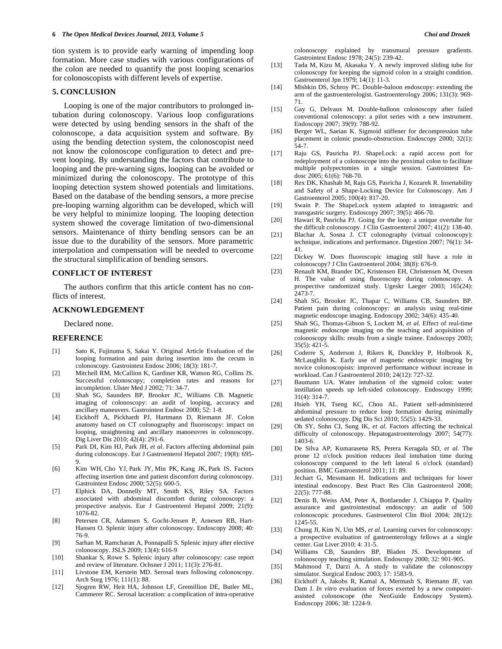tion system is to provide early warning of impending loop formation. More case studies with various configurations of the colon are needed to quantify the post looping scenarios for colonoscopists with different levels of expertise.

# **5. CONCLUSION**

Looping is one of the major contributors to prolonged intubation during colonoscopy. Various loop configurations were detected by using bending sensors in the shaft of the colonoscope, a data acquisition system and software. By using the bending detection system, the colonoscopist need not know the colonoscope configuration to detect and prevent looping. By understanding the factors that contribute to looping and the pre-warning signs, looping can be avoided or minimized during the colonoscopy. The prototype of this looping detection system showed potentials and limitations. Based on the database of the bending sensors, a more precise pre-looping warning algorithm can be developed, which will be very helpful to minimize looping. The looping detection system showed the coverage limitation of two-dimensional sensors. Maintenance of thirty bending sensors can be an issue due to the durability of the sensors. More parametric interpolation and compensation will be needed to overcome the structural simplification of bending sensors.

# **CONFLICT OF INTEREST**

The authors confirm that this article content has no conflicts of interest.

# **ACKNOWLEDGEMENT**

Declared none.

# **REFERENCE**

- [1] Sato K, Fujinuma S, Sakai Y. Original Article Evaluation of the looping formation and pain during insertion into the cecum in colonoscopy. Gastrointest Endosc 2006; 18(3): 181-7.
- [2] Mitchell RM, McCallion K, Gardiner KR, Watson RG, Collins JS. Successful colonoscopy; completion rates and reasons for incompletion. Ulster Med J 2002; 71: 34-7.
- [3] Shah SG, Saunders BP, Brooker JC, Williams CB. Magnetic imaging of colonoscopy: an audit of looping, accuracy and ancillary maneuvers. Gastrointest Endosc 2000; 52: 1-8.
- [4] Eickhoff A, Pickhardt PJ, Hartmann D, Riemann JF. Colon anatomy based on CT colonography and fluoroscopy: impact on looping, straightening and ancillary manoeuvres in colonoscopy. Dig Liver Dis 2010; 42(4): 291-6.
- [5] Park DI, Kim HJ, Park JH, *et al*. Factors affecting abdominal pain during colonoscopy. Eur J Gastroenterol Hepatol 2007; 19(8): 695- 9.
- [6] Kim WH, Cho YJ, Park JY, Min PK, Kang JK, Park IS. Factors affecting insertion time and patient discomfort during colonoscopy. Gastrointest Endosc 2000; 52(5): 600-5.
- [7] Elphick DA, Donnelly MT, Smith KS, Riley SA. Factors associated with abdominal discomfort during colonoscopy: a prospective analysis. Eur J Gastroenterol Hepatol 2009; 21(9): 1076-82.
- [8] Petersen CR, Adamsen S, Gocht-Jensen P, Arnesen RB, Hart-Hansen O. Splenic injury after colonoscopy. Endoscopy 2008; 40: 76-9.
- [9] Sarhan M, Ramcharan A, Ponnapalli S. Splenic injury after elective colonoscopy. JSLS 2009; 13(4): 616-9
- [10] Shankar S, Rowe S. Splenic injury after colonoscopy: case report and review of literature. Ochsner J 2011; 11(3): 276-81.
- [11] Livstone EM, Kerstein MD. Serosal tears following colonoscopy. Arch Surg 1976; 111(1): 88.
- [12] Sjogren RW, Heit HA, Johnson LF, Gremillion DE, Butler ML, Cammerer RC. Serosal laceration: a complication of intra-operative

colonoscopy explained by transmural pressure gradients. Gastrointest Endosc 1978; 24(5): 239-42.

- [13] Tada M, Kizu M, Akasaka Y. A newly improved sliding tube for colonoscopy for keeping the sigmoid colon in a straight condition. Gastroenterol Jpn 1979; 14(1): 11-3.
- [14] Mishkin DS, Schroy PC. Double-baloon endoscopy: extending the arm of the gastroenterologist. Gastroenterology 2006; 131(3): 969- 71.
- [15] Gay G, Delvaux M. Double-balloon colonoscopy after failed conventional colonoscopy: a pilot series with a new instrument. Endoscopy 2007; 39(9): 788-92.
- [16] Berger WL, Saeian K. Sigmoid stiffener for decompression tube placement in colonic pseudo-obstruction. Endoscopy 2000; 32(1): 54-7.
- [17] Raju GS, Pasricha PJ. ShapeLock: a rapid access port for redeployment of a colonoscope into the proximal colon to facilitate multiple polypectomies in a single session. Gastrointest Endosc 2005; 61(6): 768-70.
- [18] Rex DK, Khashab M, Raju GS, Pasricha J, Kozarek R. Insertability and Safety of a Shape-Locking Device for Colonoscopy. Am J Gastroenterol 2005; 100(4): 817-20.
- [19] Swain P. The ShapeLock system adapted to intragastric and transgastric surgery. Endoscopy 2007; 39(5): 466-70.
- [20] Hawari R, Pasricha PJ. Going for the loop: a unique overtube for the difficult colonoscopy. J Clin Gastroenterol 2007; 41(2): 138-40.
- [21] Blachar A, Sosna J. CT colonography (virtual colonoscopy): technique, indications and performance. Digestion 2007; 76(1): 34- 41.
- [22] Dickey W. Does fluoroscopic imaging still have a role in colonoscopy? J Clin Gastroenterol 2004; 38(8): 676-9.
- [23] Renault KM, Brander DC, Kristensen EH, Christensen M, Ovesen H. The value of using fluoroscopy during colonoscopy. A prospective randomized study. Ugeskr Laeger 2003; 165(24): 2473-7.
- [24] Shah SG, Brooker JC, Thapar C, Williams CB, Saunders BP. Patient pain during colonoscopy: an analysis using real-time magnetic endoscope imaging. Endoscopy 2002; 34(6): 435-40.
- [25] Shah SG, Thomas-Gibson S, Lockett M, *et al.* Effect of real-time magnetic endoscope imaging on the teaching and acquisition of colonoscopy skills: results from a single trainee. Endoscopy 2003; 35(5): 421-5.
- [26] Coderre S, Anderson J, Rikers R, Dunckley P, Holbrook K, McLaughlin K. Early use of magnetic endoscopic imaging by novice colonoscopists: improved performance without increase in workload. Can J Gastroenterol 2010; 24(12): 727-32.
- [27] Baumann UA. Water intubation of the sigmoid colon: water instillation speeds up left-sided colonoscopy. Endoscopy 1999; 31(4): 314-7.
- [28] Hsieh YH, Tseng KC, Chou AL. Patient self-administered abdominal pressure to reduce loop formation during minimally sedated colonoscopy. Dig Dis Sci 2010; 55(5): 1429-33.
- [29] Oh SY, Sohn CI, Sung IK, *et al*. Factors affecting the technical difficulty of colonoscopy. Hepatogastroenterology 2007; 54(77): 1403-6.
- [30] De Silva AP, Kumarasena RS, Perera Keragala SD, *et al.* The prone 12 o'clock position reduces ileal intubation time during colonoscopy compared to the left lateral 6 o'clock (standard) position. BMC Gastroenterol 2011; 11: 89.
- [31] Jechart G, Messmann H. Indications and techniques for lower intestinal endoscopy. Best Pract Res Clin Gastroenterol 2008; 22(5): 777-88.
- [32] Denis B, Weiss AM, Peter A, Bottlaender J, Chiappa P. Quality assurance and gastrointestinal endoscopy: an audit of 500 colonoscopic procedures. Gastroenterol Clin Biol 2004; 28(12): 1245-55.
- [33] Chung JI, Kim N, Um MS, et al. Learning curves for colonoscopy: a prospective evaluation of gastroenterology fellows at a single center. Gut Liver 2010; 4: 31-5.
- [34] Williams CB, Saunders BP, Bladen JS. Development of colonoscopy teaching simulation. Endoscopy 2000; 32: 901-905.
- [35] Mahmood T, Darzi A. A study to validate the colonoscopy simulator. Surgical Endosc 2003; 17: 1583-9.
- [36] Eickhoff A, Jakobs R, Kamal A, Mermash S, Riemann JF, van Dam J. *In vitro* evaluation of forces exerted by a new computerassisted colonoscope (the NeoGuide Endoscopy System). Endoscopy 2006; 38: 1224-9.